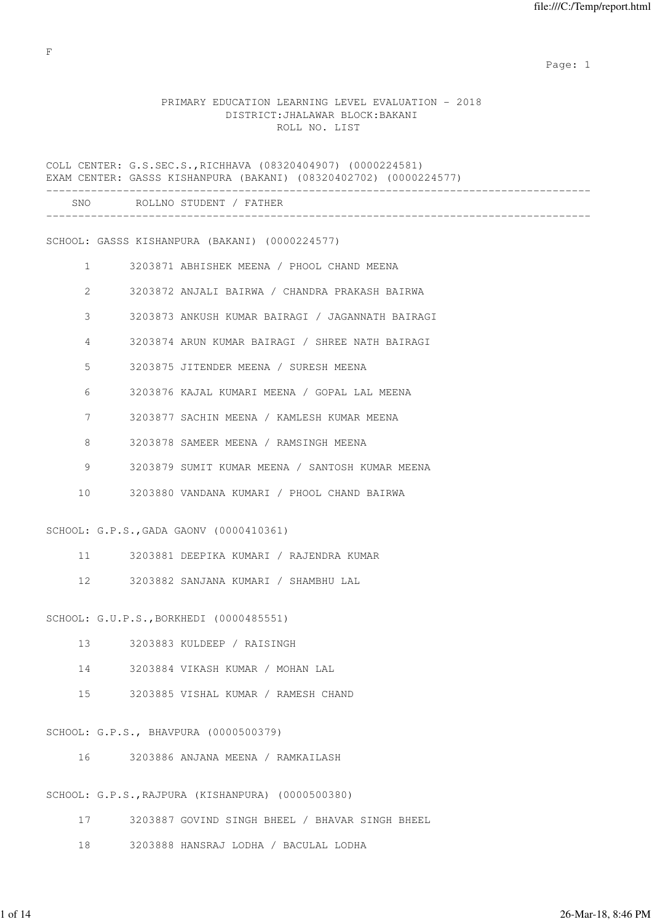### PRIMARY EDUCATION LEARNING LEVEL EVALUATION - 2018 DISTRICT:JHALAWAR BLOCK:BAKANI ROLL NO. LIST

COLL CENTER: G.S.SEC.S.,RICHHAVA (08320404907) (0000224581) EXAM CENTER: GASSS KISHANPURA (BAKANI) (08320402702) (0000224577) ------------------------------------------------------------------------------------- SNO ROLLNO STUDENT / FATHER ------------------------------------------------------------------------------------- SCHOOL: GASSS KISHANPURA (BAKANI) (0000224577) 1 3203871 ABHISHEK MEENA / PHOOL CHAND MEENA 2 3203872 ANJALI BAIRWA / CHANDRA PRAKASH BAIRWA 3 3203873 ANKUSH KUMAR BAIRAGI / JAGANNATH BAIRAGI 4 3203874 ARUN KUMAR BAIRAGI / SHREE NATH BAIRAGI 5 3203875 JITENDER MEENA / SURESH MEENA 6 3203876 KAJAL KUMARI MEENA / GOPAL LAL MEENA 7 3203877 SACHIN MEENA / KAMLESH KUMAR MEENA 8 3203878 SAMEER MEENA / RAMSINGH MEENA 9 3203879 SUMIT KUMAR MEENA / SANTOSH KUMAR MEENA 10 3203880 VANDANA KUMARI / PHOOL CHAND BAIRWA SCHOOL: G.P.S.,GADA GAONV (0000410361) 11 3203881 DEEPIKA KUMARI / RAJENDRA KUMAR 12 3203882 SANJANA KUMARI / SHAMBHU LAL SCHOOL: G.U.P.S.,BORKHEDI (0000485551) 13 3203883 KULDEEP / RAISINGH 14 3203884 VIKASH KUMAR / MOHAN LAL 15 3203885 VISHAL KUMAR / RAMESH CHAND SCHOOL: G.P.S., BHAVPURA (0000500379) 16 3203886 ANJANA MEENA / RAMKAILASH SCHOOL: G.P.S.,RAJPURA (KISHANPURA) (0000500380) 17 3203887 GOVIND SINGH BHEEL / BHAVAR SINGH BHEEL 18 3203888 HANSRAJ LODHA / BACULAL LODHA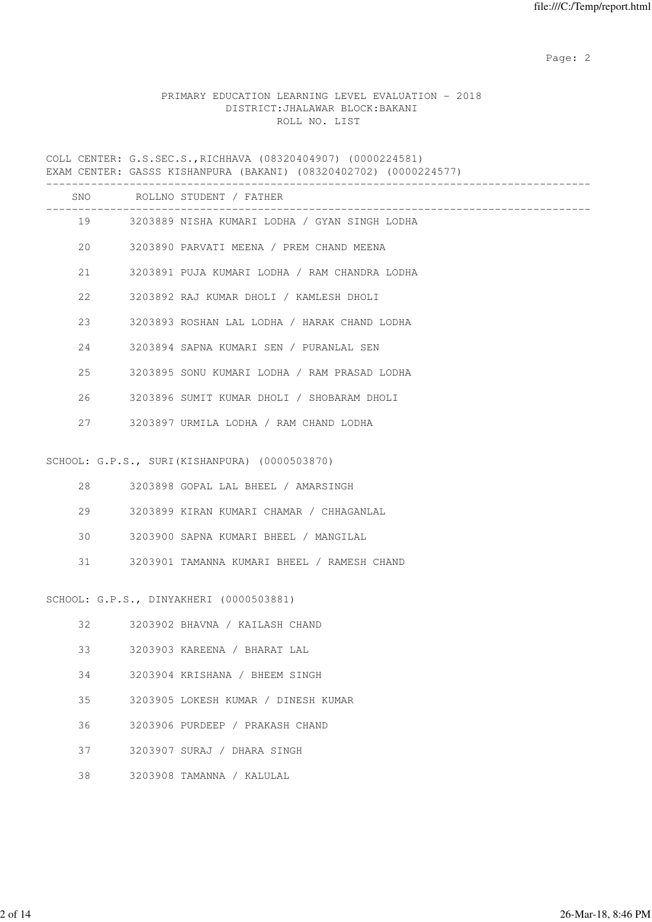# PRIMARY EDUCATION LEARNING LEVEL EVALUATION - 2018 DISTRICT:JHALAWAR BLOCK:BAKANI ROLL NO. LIST

COLL CENTER: G.S.SEC.S.,RICHHAVA (08320404907) (0000224581) EXAM CENTER: GASSS KISHANPURA (BAKANI) (08320402702) (0000224577)

|    |    | SNO ROLLNO STUDENT / FATHER                    |
|----|----|------------------------------------------------|
|    | 19 | 3203889 NISHA KUMARI LODHA / GYAN SINGH LODHA  |
|    |    | 20 3203890 PARVATI MEENA / PREM CHAND MEENA    |
| 21 |    | 3203891 PUJA KUMARI LODHA / RAM CHANDRA LODHA  |
| 22 |    | 3203892 RAJ KUMAR DHOLI / KAMLESH DHOLI        |
| 23 |    | 3203893 ROSHAN LAL LODHA / HARAK CHAND LODHA   |
| 24 |    | 3203894 SAPNA KUMARI SEN / PURANLAL SEN        |
| 25 |    | 3203895 SONU KUMARI LODHA / RAM PRASAD LODHA   |
| 26 |    | 3203896 SUMIT KUMAR DHOLI / SHOBARAM DHOLI     |
| 27 |    | 3203897 URMILA LODHA / RAM CHAND LODHA         |
|    |    | SCHOOL: G.P.S., SURI (KISHANPURA) (0000503870) |
| 28 |    | 3203898 GOPAL LAL BHEEL / AMARSINGH            |
| 29 |    | 3203899 KIRAN KUMARI CHAMAR / CHHAGANLAL       |
| 30 |    | 3203900 SAPNA KUMARI BHEEL / MANGILAL          |
| 31 |    | 3203901 TAMANNA KUMARI BHEEL / RAMESH CHAND    |
|    |    | SCHOOL: G.P.S., DINYAKHERI (0000503881)        |
| 32 |    | 3203902 BHAVNA / KAILASH CHAND                 |
| 33 |    | 3203903 KAREENA / BHARAT LAL                   |
| 34 |    | 3203904 KRISHANA / BHEEM SINGH                 |
| 35 |    | 3203905 LOKESH KUMAR / DINESH KUMAR            |
| 36 |    | 3203906 PURDEEP / PRAKASH CHAND                |
| 37 |    | 3203907 SURAJ / DHARA SINGH                    |
| 38 |    | 3203908 TAMANNA / KALULAL                      |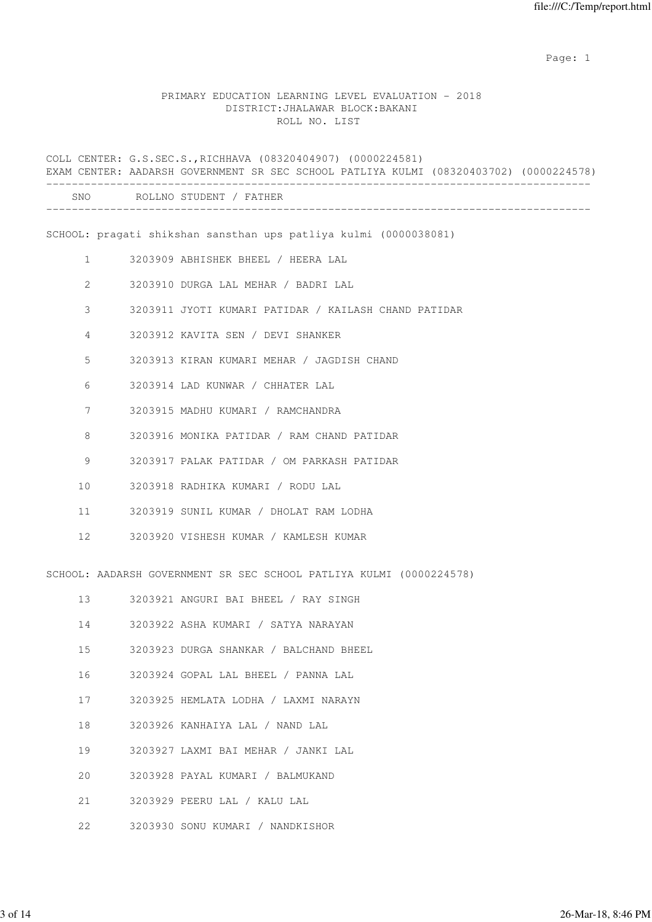#### PRIMARY EDUCATION LEARNING LEVEL EVALUATION - 2018 DISTRICT:JHALAWAR BLOCK:BAKANI ROLL NO. LIST

COLL CENTER: G.S.SEC.S.,RICHHAVA (08320404907) (0000224581) EXAM CENTER: AADARSH GOVERNMENT SR SEC SCHOOL PATLIYA KULMI (08320403702) (0000224578) ------------------------------------------------------------------------------------- SNO ROLLNO STUDENT / FATHER ------------------------------------------------------------------------------------- SCHOOL: pragati shikshan sansthan ups patliya kulmi (0000038081) 1 3203909 ABHISHEK BHEEL / HEERA LAL 2 3203910 DURGA LAL MEHAR / BADRI LAL 3 3203911 JYOTI KUMARI PATIDAR / KAILASH CHAND PATIDAR 4 3203912 KAVITA SEN / DEVI SHANKER 5 3203913 KIRAN KUMARI MEHAR / JAGDISH CHAND 6 3203914 LAD KUNWAR / CHHATER LAL 7 3203915 MADHU KUMARI / RAMCHANDRA 8 3203916 MONIKA PATIDAR / RAM CHAND PATIDAR 9 3203917 PALAK PATIDAR / OM PARKASH PATIDAR 10 3203918 RADHIKA KUMARI / RODU LAL 11 3203919 SUNIL KUMAR / DHOLAT RAM LODHA 12 3203920 VISHESH KUMAR / KAMLESH KUMAR SCHOOL: AADARSH GOVERNMENT SR SEC SCHOOL PATLIYA KULMI (0000224578) 13 3203921 ANGURI BAI BHEEL / RAY SINGH 14 3203922 ASHA KUMARI / SATYA NARAYAN 15 3203923 DURGA SHANKAR / BALCHAND BHEEL 16 3203924 GOPAL LAL BHEEL / PANNA LAL 17 3203925 HEMLATA LODHA / LAXMI NARAYN 18 3203926 KANHAIYA LAL / NAND LAL 19 3203927 LAXMI BAI MEHAR / JANKI LAL 20 3203928 PAYAL KUMARI / BALMUKAND 21 3203929 PEERU LAL / KALU LAL

22 3203930 SONU KUMARI / NANDKISHOR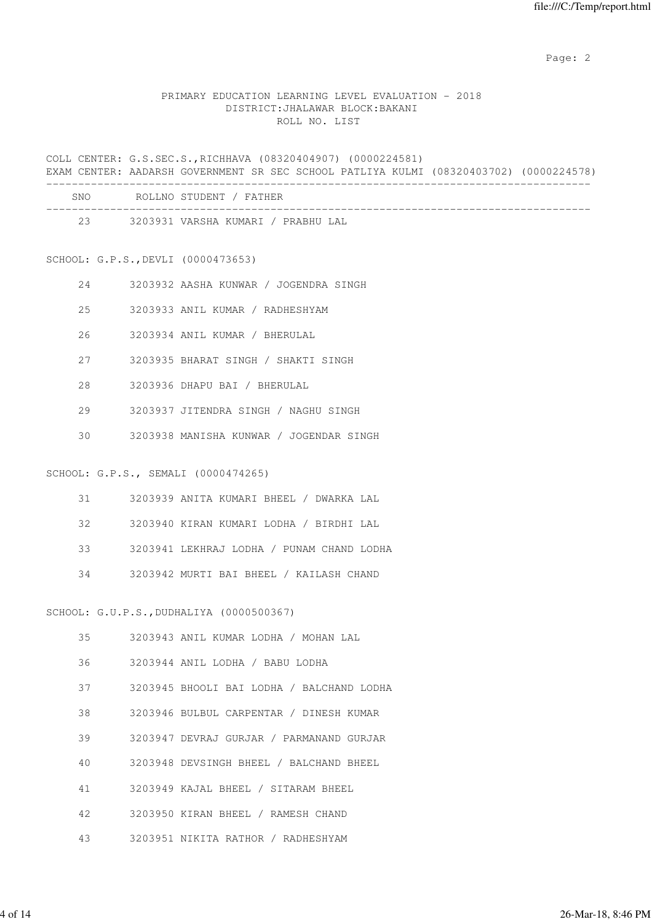#### PRIMARY EDUCATION LEARNING LEVEL EVALUATION - 2018 DISTRICT:JHALAWAR BLOCK:BAKANI ROLL NO. LIST

COLL CENTER: G.S.SEC.S.,RICHHAVA (08320404907) (0000224581) EXAM CENTER: AADARSH GOVERNMENT SR SEC SCHOOL PATLIYA KULMI (08320403702) (0000224578) -------------------------------------------------------------------------------------

| <b>SNO</b> | ROLLNO STUDENT / FATHER            |
|------------|------------------------------------|
| 23         | 3203931 VARSHA KUMARI / PRABHU LAL |

SCHOOL: G.P.S.,DEVLI (0000473653)

- 24 3203932 AASHA KUNWAR / JOGENDRA SINGH
- 25 3203933 ANIL KUMAR / RADHESHYAM
- 26 3203934 ANIL KUMAR / BHERULAL
- 27 3203935 BHARAT SINGH / SHAKTI SINGH
- 28 3203936 DHAPU BAI / BHERULAL
- 29 3203937 JITENDRA SINGH / NAGHU SINGH
- 30 3203938 MANISHA KUNWAR / JOGENDAR SINGH

#### SCHOOL: G.P.S., SEMALI (0000474265)

- 31 3203939 ANITA KUMARI BHEEL / DWARKA LAL
- 32 3203940 KIRAN KUMARI LODHA / BIRDHI LAL
- 33 3203941 LEKHRAJ LODHA / PUNAM CHAND LODHA
- 34 3203942 MURTI BAI BHEEL / KAILASH CHAND

SCHOOL: G.U.P.S.,DUDHALIYA (0000500367)

| 35 | 3203943 ANIL KUMAR LODHA / MOHAN LAL |                                           |
|----|--------------------------------------|-------------------------------------------|
| 36 | 3203944 ANIL LODHA / BABU LODHA      |                                           |
| 37 |                                      | 3203945 BHOOLI BAI LODHA / BALCHAND LODHA |
| 38 |                                      | 3203946 BULBUL CARPENTAR / DINESH KUMAR   |
| 39 |                                      | 3203947 DEVRAJ GURJAR / PARMANAND GURJAR  |
| 40 |                                      | 3203948 DEVSINGH BHEEL / BALCHAND BHEEL   |
| 41 | 3203949 KAJAL BHEEL / SITARAM BHEEL  |                                           |
| 42 | 3203950 KIRAN BHEEL / RAMESH CHAND   |                                           |
| 43 | 3203951 NIKITA RATHOR / RADHESHYAM   |                                           |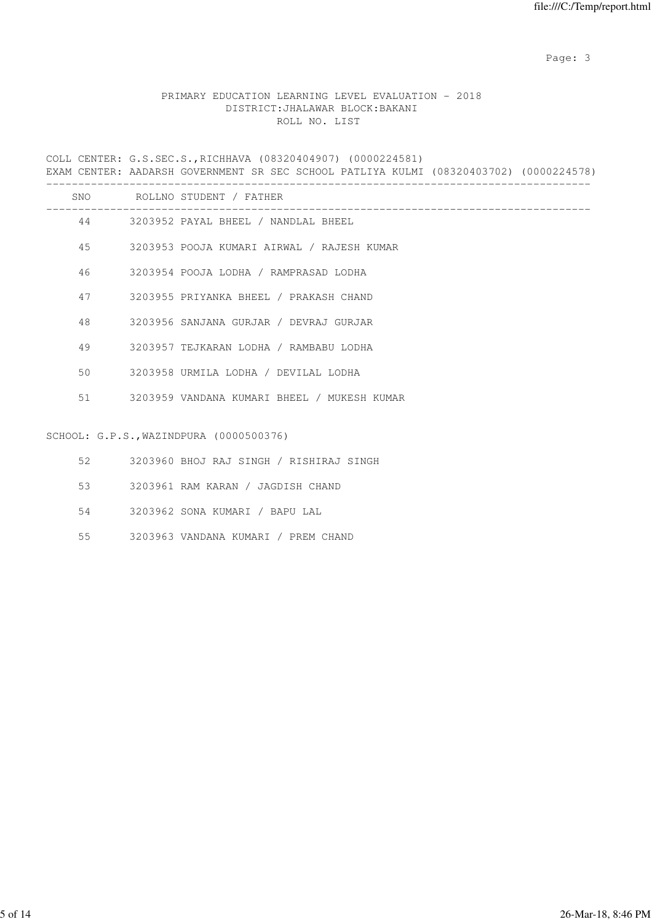Page: 3

# PRIMARY EDUCATION LEARNING LEVEL EVALUATION - 2018 DISTRICT:JHALAWAR BLOCK:BAKANI ROLL NO. LIST

COLL CENTER: G.S.SEC.S.,RICHHAVA (08320404907) (0000224581) EXAM CENTER: AADARSH GOVERNMENT SR SEC SCHOOL PATLIYA KULMI (08320403702) (0000224578) ------------------------------------------------------------------------------------- SNO POLLNO STUDENT / FATHER

| OIVU | RUILINU DIUDENI / FAIHER                    |
|------|---------------------------------------------|
|      | 44 3203952 PAYAL BHEEL / NANDLAL BHEEL      |
| 45   | 3203953 POOJA KUMARI AIRWAL / RAJESH KUMAR  |
| 46   | 3203954 POOJA LODHA / RAMPRASAD LODHA       |
| 47   | 3203955 PRIYANKA BHEEL / PRAKASH CHAND      |
| 48   | 3203956 SANJANA GURJAR / DEVRAJ GURJAR      |
| 49   | 3203957 TEJKARAN LODHA / RAMBABU LODHA      |
| 50   | 3203958 URMILA LODHA / DEVILAL LODHA        |
| 51   | 3203959 VANDANA KUMARI BHEEL / MUKESH KUMAR |
|      |                                             |
|      | SCHOOL: G.P.S., WAZINDPURA (0000500376)     |
| 52   | 3203960 BHOJ RAJ SINGH / RISHIRAJ SINGH     |

- 
- 53 3203961 RAM KARAN / JAGDISH CHAND
- 54 3203962 SONA KUMARI / BAPU LAL
- 55 3203963 VANDANA KUMARI / PREM CHAND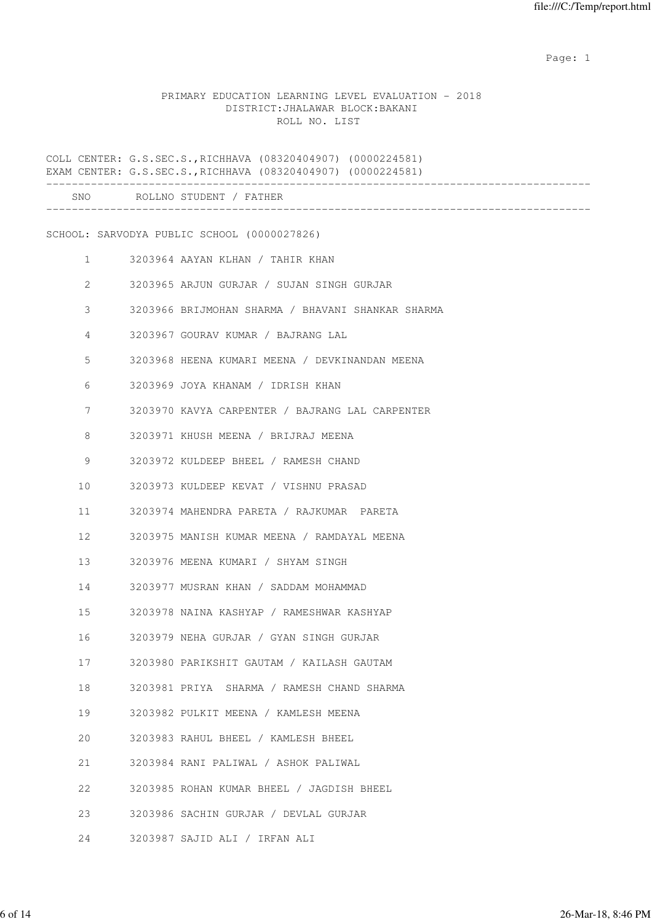#### PRIMARY EDUCATION LEARNING LEVEL EVALUATION - 2018 DISTRICT:JHALAWAR BLOCK:BAKANI ROLL NO. LIST

COLL CENTER: G.S.SEC.S.,RICHHAVA (08320404907) (0000224581) EXAM CENTER: G.S.SEC.S.,RICHHAVA (08320404907) (0000224581) ------------------------------------------------------------------------------------- SNO ROLLNO STUDENT / FATHER ------------------------------------------------------------------------------------- SCHOOL: SARVODYA PUBLIC SCHOOL (0000027826) 1 3203964 AAYAN KLHAN / TAHIR KHAN 2 3203965 ARJUN GURJAR / SUJAN SINGH GURJAR 3 3203966 BRIJMOHAN SHARMA / BHAVANI SHANKAR SHARMA 4 3203967 GOURAV KUMAR / BAJRANG LAL 5 3203968 HEENA KUMARI MEENA / DEVKINANDAN MEENA 6 3203969 JOYA KHANAM / IDRISH KHAN 7 3203970 KAVYA CARPENTER / BAJRANG LAL CARPENTER 8 3203971 KHUSH MEENA / BRIJRAJ MEENA 9 3203972 KULDEEP BHEEL / RAMESH CHAND 10 3203973 KULDEEP KEVAT / VISHNU PRASAD 11 3203974 MAHENDRA PARETA / RAJKUMAR PARETA 12 3203975 MANISH KUMAR MEENA / RAMDAYAL MEENA 13 3203976 MEENA KUMARI / SHYAM SINGH 14 3203977 MUSRAN KHAN / SADDAM MOHAMMAD 15 3203978 NAINA KASHYAP / RAMESHWAR KASHYAP 16 3203979 NEHA GURJAR / GYAN SINGH GURJAR 17 3203980 PARIKSHIT GAUTAM / KAILASH GAUTAM 18 3203981 PRIYA SHARMA / RAMESH CHAND SHARMA 19 3203982 PULKIT MEENA / KAMLESH MEENA 20 3203983 RAHUL BHEEL / KAMLESH BHEEL 21 3203984 RANI PALIWAL / ASHOK PALIWAL 22 3203985 ROHAN KUMAR BHEEL / JAGDISH BHEEL 23 3203986 SACHIN GURJAR / DEVLAL GURJAR 24 3203987 SAJID ALI / IRFAN ALI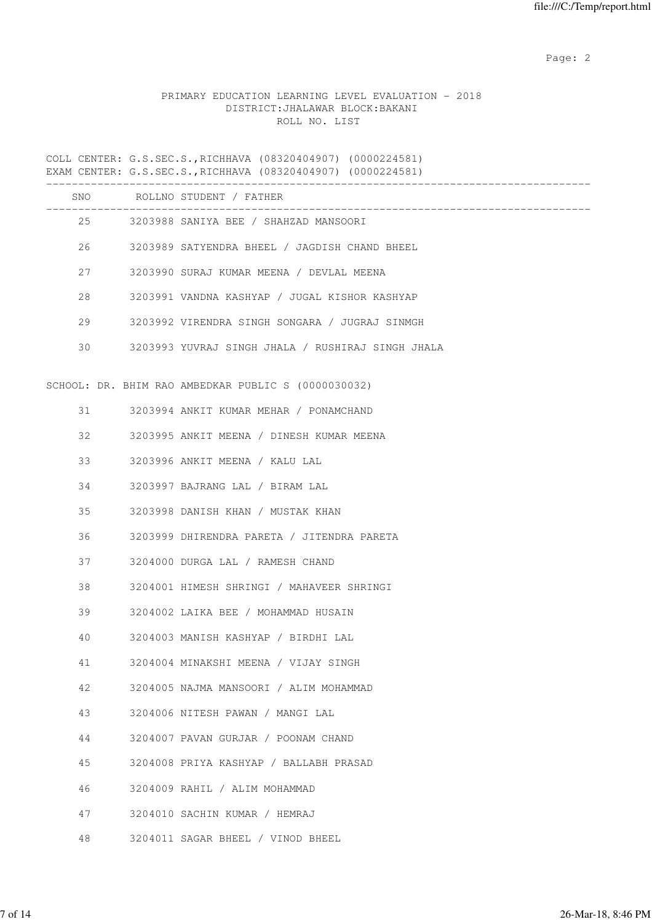# PRIMARY EDUCATION LEARNING LEVEL EVALUATION - 2018 DISTRICT:JHALAWAR BLOCK:BAKANI ROLL NO. LIST

|    | SNO ROLLNO STUDENT / FATHER                         |
|----|-----------------------------------------------------|
|    | 25 3203988 SANIYA BEE / SHAHZAD MANSOORI            |
|    | 26 3203989 SATYENDRA BHEEL / JAGDISH CHAND BHEEL    |
| 27 | 3203990 SURAJ KUMAR MEENA / DEVLAL MEENA            |
| 28 | 3203991 VANDNA KASHYAP / JUGAL KISHOR KASHYAP       |
| 29 | 3203992 VIRENDRA SINGH SONGARA / JUGRAJ SINMGH      |
| 30 | 3203993 YUVRAJ SINGH JHALA / RUSHIRAJ SINGH JHALA   |
|    | SCHOOL: DR. BHIM RAO AMBEDKAR PUBLIC S (0000030032) |
| 31 | 3203994 ANKIT KUMAR MEHAR / PONAMCHAND              |
| 32 | 3203995 ANKIT MEENA / DINESH KUMAR MEENA            |
| 33 | 3203996 ANKIT MEENA / KALU LAL                      |
| 34 | 3203997 BAJRANG LAL / BIRAM LAL                     |
| 35 | 3203998 DANISH KHAN / MUSTAK KHAN                   |
| 36 | 3203999 DHIRENDRA PARETA / JITENDRA PARETA          |
| 37 | 3204000 DURGA LAL / RAMESH CHAND                    |
| 38 | 3204001 HIMESH SHRINGI / MAHAVEER SHRINGI           |
| 39 | 3204002 LAIKA BEE / MOHAMMAD HUSAIN                 |
| 40 | 3204003 MANISH KASHYAP / BIRDHI LAL                 |
| 41 | 3204004 MINAKSHI MEENA / VIJAY SINGH                |
| 42 | 3204005 NAJMA MANSOORI / ALIM MOHAMMAD              |
| 43 | 3204006 NITESH PAWAN / MANGI LAL                    |
| 44 | 3204007 PAVAN GURJAR / POONAM CHAND                 |
| 45 | 3204008 PRIYA KASHYAP / BALLABH PRASAD              |
| 46 | 3204009 RAHIL / ALIM MOHAMMAD                       |
| 47 | 3204010 SACHIN KUMAR / HEMRAJ                       |
| 48 | 3204011 SAGAR BHEEL / VINOD BHEEL                   |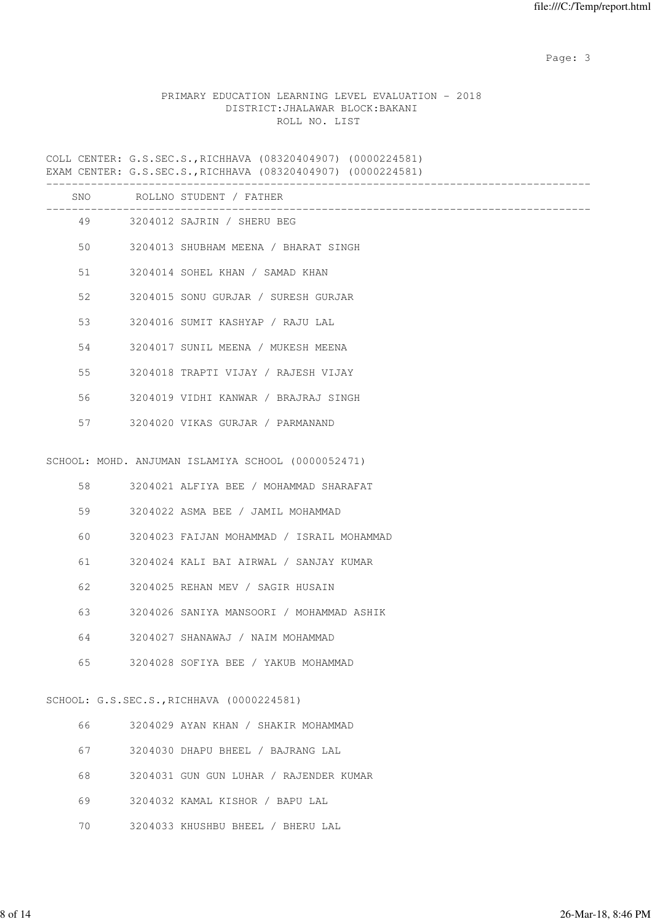Page: 3

## PRIMARY EDUCATION LEARNING LEVEL EVALUATION - 2018 DISTRICT:JHALAWAR BLOCK:BAKANI ROLL NO. LIST

|     | _________________________________                  |
|-----|----------------------------------------------------|
| SNO | ROLLNO STUDENT / FATHER                            |
|     | 49 3204012 SAJRIN / SHERU BEG                      |
| 50  | 3204013 SHUBHAM MEENA / BHARAT SINGH               |
| 51  | 3204014 SOHEL KHAN / SAMAD KHAN                    |
| 52  | 3204015 SONU GURJAR / SURESH GURJAR                |
| 53  | 3204016 SUMIT KASHYAP / RAJU LAL                   |
| 54  | 3204017 SUNIL MEENA / MUKESH MEENA                 |
| 55  | 3204018 TRAPTI VIJAY / RAJESH VIJAY                |
| 56  | 3204019 VIDHI KANWAR / BRAJRAJ SINGH               |
| 57  | 3204020 VIKAS GURJAR / PARMANAND                   |
|     |                                                    |
|     | SCHOOL: MOHD. ANJUMAN ISLAMIYA SCHOOL (0000052471) |
| 58  | 3204021 ALFIYA BEE / MOHAMMAD SHARAFAT             |
| 59  | 3204022 ASMA BEE / JAMIL MOHAMMAD                  |
| 60  | 3204023 FAIJAN MOHAMMAD / ISRAIL MOHAMMAD          |
| 61  | 3204024 KALI BAI AIRWAL / SANJAY KUMAR             |
| 62  | 3204025 REHAN MEV / SAGIR HUSAIN                   |
| 63  | 3204026 SANIYA MANSOORI / MOHAMMAD ASHIK           |
| 64  | 3204027 SHANAWAJ / NAIM MOHAMMAD                   |
| 65  | 3204028 SOFIYA BEE / YAKUB MOHAMMAD                |
|     |                                                    |
|     | SCHOOL: G.S.SEC.S., RICHHAVA (0000224581)          |
| 66  | 3204029 AYAN KHAN / SHAKIR MOHAMMAD                |
| 67  | 3204030 DHAPU BHEEL / BAJRANG LAL                  |
| 68  | 3204031 GUN GUN LUHAR / RAJENDER KUMAR             |
| 69  | 3204032 KAMAL KISHOR / BAPU LAL                    |
| 70  | 3204033 KHUSHBU BHEEL / BHERU LAL                  |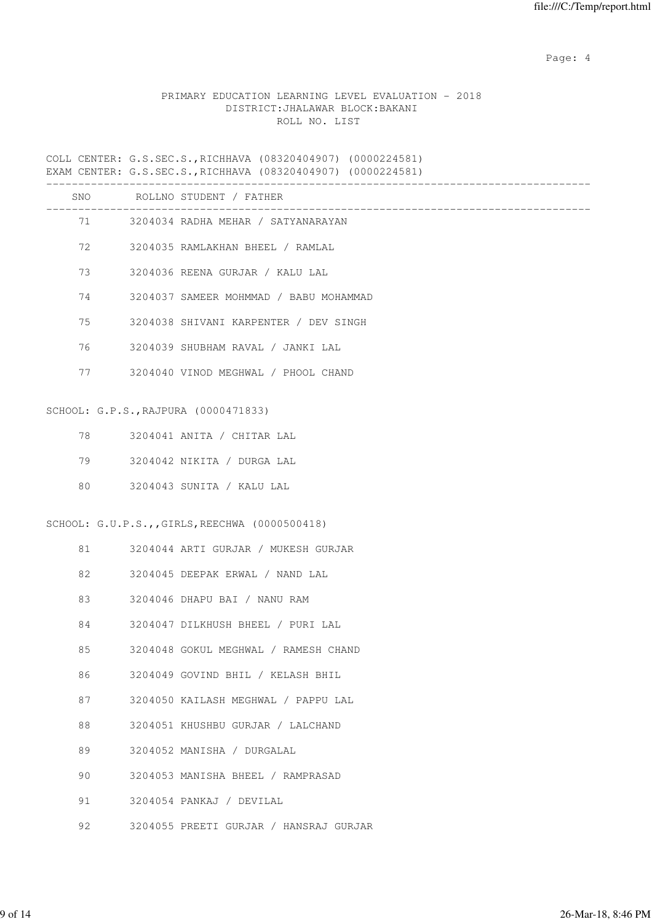Page: 4  $P$ 

## PRIMARY EDUCATION LEARNING LEVEL EVALUATION - 2018 DISTRICT:JHALAWAR BLOCK:BAKANI ROLL NO. LIST

|    | ---------                                                       |
|----|-----------------------------------------------------------------|
|    | SNO ROLLNO STUDENT / FATHER<br>________________________________ |
|    | 71 3204034 RADHA MEHAR / SATYANARAYAN                           |
| 72 | 3204035 RAMLAKHAN BHEEL / RAMLAL                                |
| 73 | 3204036 REENA GURJAR / KALU LAL                                 |
| 74 | 3204037 SAMEER MOHMMAD / BABU MOHAMMAD                          |
| 75 | 3204038 SHIVANI KARPENTER / DEV SINGH                           |
| 76 | 3204039 SHUBHAM RAVAL / JANKI LAL                               |
| 77 | 3204040 VINOD MEGHWAL / PHOOL CHAND                             |
|    | SCHOOL: G.P.S., RAJPURA (0000471833)                            |
|    |                                                                 |
| 78 | 3204041 ANITA / CHITAR LAL                                      |
| 79 | 3204042 NIKITA / DURGA LAL                                      |
| 80 | 3204043 SUNITA / KALU LAL                                       |
|    | SCHOOL: G.U.P.S.,,GIRLS,REECHWA (0000500418)                    |
| 81 | 3204044 ARTI GURJAR / MUKESH GURJAR                             |
| 82 | 3204045 DEEPAK ERWAL / NAND LAL                                 |
| 83 | 3204046 DHAPU BAI / NANU RAM                                    |
| 84 | 3204047 DILKHUSH BHEEL / PURI LAL                               |
| 85 | 3204048 GOKUL MEGHWAL / RAMESH CHAND                            |
| 86 | 3204049 GOVIND BHIL / KELASH BHIL                               |
| 87 | 3204050 KAILASH MEGHWAL / PAPPU LAL                             |
| 88 | 3204051 KHUSHBU GURJAR / LALCHAND                               |
| 89 | 3204052 MANISHA / DURGALAL                                      |
| 90 | 3204053 MANISHA BHEEL / RAMPRASAD                               |
| 91 | 3204054 PANKAJ / DEVILAL                                        |
| 92 | 3204055 PREETI GURJAR / HANSRAJ GURJAR                          |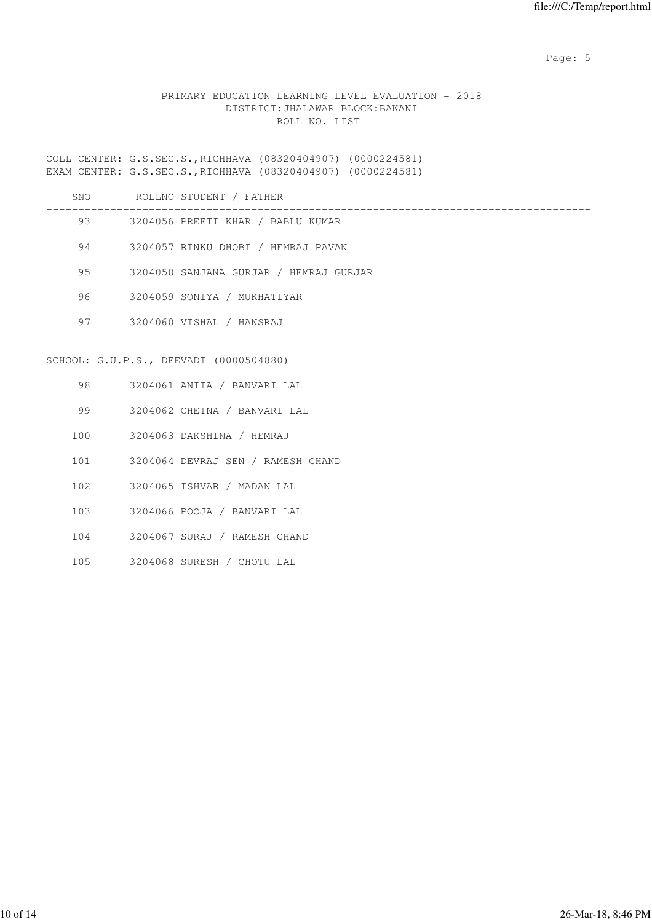Page: 5  $P$  and  $P$  and  $P$  and  $P$  and  $P$  and  $P$  and  $P$  and  $P$  and  $P$  and  $P$  and  $P$  and  $P$  and  $P$  and  $P$  and  $P$  and  $P$  and  $P$  and  $P$  and  $P$  and  $P$  and  $P$  and  $P$  and  $P$  and  $P$  and  $P$  and  $P$  and  $P$  an

# PRIMARY EDUCATION LEARNING LEVEL EVALUATION - 2018 DISTRICT:JHALAWAR BLOCK:BAKANI ROLL NO. LIST

|         |     | SNO ROLLNO STUDENT / FATHER            |
|---------|-----|----------------------------------------|
|         |     | 93 3204056 PREETI KHAR / BABLU KUMAR   |
|         |     | 94 3204057 RINKU DHOBI / HEMRAJ PAVAN  |
|         |     | 3204058 SANJANA GURJAR / HEMRAJ GURJAR |
| 96      |     | 3204059 SONIYA / MUKHATIYAR            |
|         |     | 97 3204060 VISHAL / HANSRAJ            |
|         |     |                                        |
|         |     | SCHOOL: G.U.P.S., DEEVADI (0000504880) |
|         |     | 98 3204061 ANITA / BANVARI LAL         |
| 99      |     | 3204062 CHETNA / BANVARI LAL           |
|         |     | 100 3204063 DAKSHINA / HEMRAJ          |
|         |     | 101 3204064 DEVRAJ SEN / RAMESH CHAND  |
| 102     |     | 3204065 ISHVAR / MADAN LAL             |
|         | 103 | 3204066 POOJA / BANVARI LAL            |
| 104     |     | 3204067 SURAJ / RAMESH CHAND           |
| $105 -$ |     | 3204068 SURESH / CHOTU LAL             |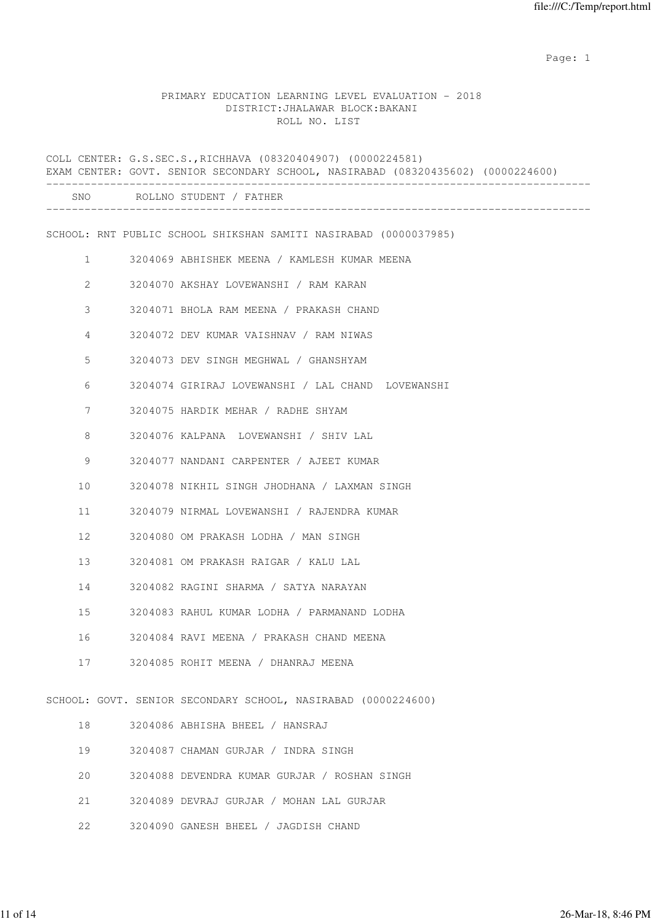# PRIMARY EDUCATION LEARNING LEVEL EVALUATION - 2018 DISTRICT:JHALAWAR BLOCK:BAKANI ROLL NO. LIST

|              | COLL CENTER: G.S.SEC.S., RICHHAVA (08320404907) (0000224581)<br>EXAM CENTER: GOVT. SENIOR SECONDARY SCHOOL, NASIRABAD (08320435602) (0000224600) |
|--------------|--------------------------------------------------------------------------------------------------------------------------------------------------|
|              | SNO ROLLNO STUDENT / FATHER                                                                                                                      |
|              | SCHOOL: RNT PUBLIC SCHOOL SHIKSHAN SAMITI NASIRABAD (0000037985)                                                                                 |
| $\mathbf{1}$ | 3204069 ABHISHEK MEENA / KAMLESH KUMAR MEENA                                                                                                     |
| $\mathbf{2}$ | 3204070 AKSHAY LOVEWANSHI / RAM KARAN                                                                                                            |
| 3            | 3204071 BHOLA RAM MEENA / PRAKASH CHAND                                                                                                          |
| 4            | 3204072 DEV KUMAR VAISHNAV / RAM NIWAS                                                                                                           |
| 5            | 3204073 DEV SINGH MEGHWAL / GHANSHYAM                                                                                                            |
| 6            | 3204074 GIRIRAJ LOVEWANSHI / LAL CHAND LOVEWANSHI                                                                                                |
| 7            | 3204075 HARDIK MEHAR / RADHE SHYAM                                                                                                               |
| 8            | 3204076 KALPANA LOVEWANSHI / SHIV LAL                                                                                                            |
| 9            | 3204077 NANDANI CARPENTER / AJEET KUMAR                                                                                                          |
| 10           | 3204078 NIKHIL SINGH JHODHANA / LAXMAN SINGH                                                                                                     |
| 11           | 3204079 NIRMAL LOVEWANSHI / RAJENDRA KUMAR                                                                                                       |
| 12           | 3204080 OM PRAKASH LODHA / MAN SINGH                                                                                                             |
| 13           | 3204081 OM PRAKASH RAIGAR / KALU LAL                                                                                                             |
| 14           | 3204082 RAGINI SHARMA / SATYA NARAYAN                                                                                                            |
| 15           | 3204083 RAHUL KUMAR LODHA / PARMANAND LODHA                                                                                                      |
| 16           | 3204084 RAVI MEENA / PRAKASH CHAND MEENA                                                                                                         |
| 17           | 3204085 ROHIT MEENA / DHANRAJ MEENA                                                                                                              |
|              | SCHOOL: GOVT. SENIOR SECONDARY SCHOOL, NASIRABAD (0000224600)                                                                                    |
| 18           | 3204086 ABHISHA BHEEL / HANSRAJ                                                                                                                  |
| 19           | 3204087 CHAMAN GURJAR / INDRA SINGH                                                                                                              |
| 20           | 3204088 DEVENDRA KUMAR GURJAR / ROSHAN SINGH                                                                                                     |
| 21           | 3204089 DEVRAJ GURJAR / MOHAN LAL GURJAR                                                                                                         |
| 22           | 3204090 GANESH BHEEL / JAGDISH CHAND                                                                                                             |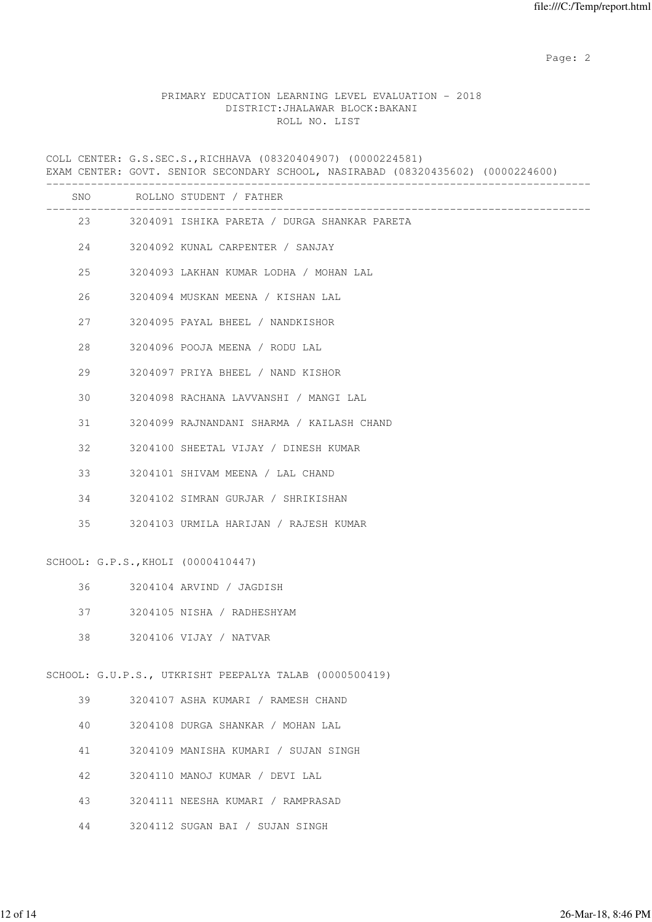#### PRIMARY EDUCATION LEARNING LEVEL EVALUATION - 2018 DISTRICT:JHALAWAR BLOCK:BAKANI ROLL NO. LIST

COLL CENTER: G.S.SEC.S.,RICHHAVA (08320404907) (0000224581) EXAM CENTER: GOVT. SENIOR SECONDARY SCHOOL, NASIRABAD (08320435602) (0000224600) ------------------------------------------------------------------------------------- SNO ROLLNO STUDENT / FATHER ------------------------------------------------------------------------------------- 23 3204091 ISHIKA PARETA / DURGA SHANKAR PARETA 24 3204092 KUNAL CARPENTER / SANJAY 25 3204093 LAKHAN KUMAR LODHA / MOHAN LAL 26 3204094 MUSKAN MEENA / KISHAN LAL 27 3204095 PAYAL BHEEL / NANDKISHOR 28 3204096 POOJA MEENA / RODU LAL 29 3204097 PRIYA BHEEL / NAND KISHOR 30 3204098 RACHANA LAVVANSHI / MANGI LAL 31 3204099 RAJNANDANI SHARMA / KAILASH CHAND 32 3204100 SHEETAL VIJAY / DINESH KUMAR 33 3204101 SHIVAM MEENA / LAL CHAND 34 3204102 SIMRAN GURJAR / SHRIKISHAN 35 3204103 URMILA HARIJAN / RAJESH KUMAR SCHOOL: G.P.S.,KHOLI (0000410447) 36 3204104 ARVIND / JAGDISH 37 3204105 NISHA / RADHESHYAM 38 3204106 VIJAY / NATVAR SCHOOL: G.U.P.S., UTKRISHT PEEPALYA TALAB (0000500419) 39 3204107 ASHA KUMARI / RAMESH CHAND 40 3204108 DURGA SHANKAR / MOHAN LAL 41 3204109 MANISHA KUMARI / SUJAN SINGH 42 3204110 MANOJ KUMAR / DEVI LAL 43 3204111 NEESHA KUMARI / RAMPRASAD

44 3204112 SUGAN BAI / SUJAN SINGH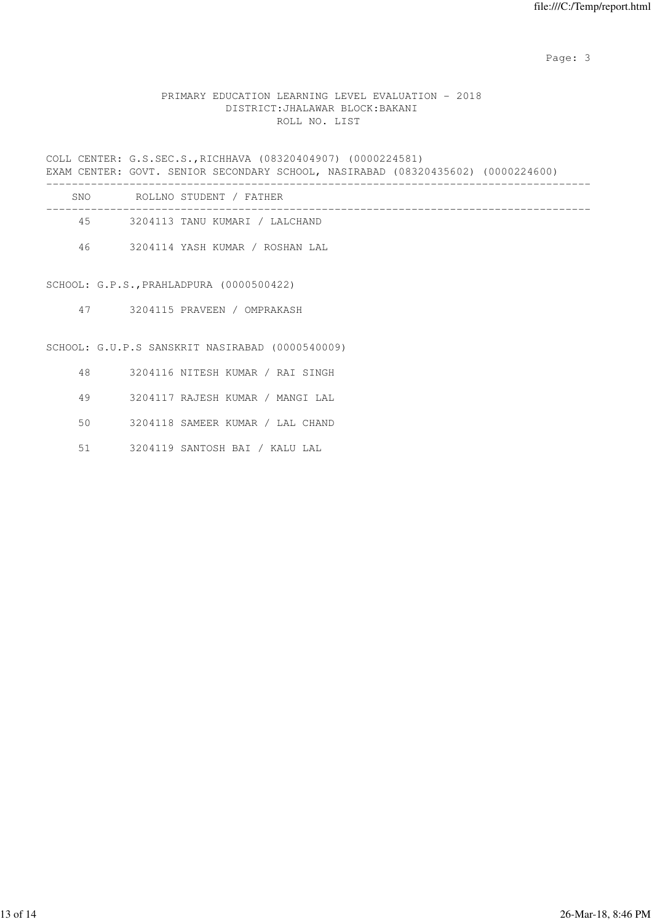Page: 3

# PRIMARY EDUCATION LEARNING LEVEL EVALUATION - 2018 DISTRICT:JHALAWAR BLOCK:BAKANI ROLL NO. LIST

COLL CENTER: G.S.SEC.S.,RICHHAVA (08320404907) (0000224581) EXAM CENTER: GOVT. SENIOR SECONDARY SCHOOL, NASIRABAD (08320435602) (0000224600) -------------------------------------------------------------------------------------

| SNO. | ROLLNO STUDENT / FATHER         |
|------|---------------------------------|
| 45   | 3204113 TANU KUMARI / LALCHAND  |
| 46.  | 3204114 YASH KUMAR / ROSHAN LAL |

SCHOOL: G.P.S.,PRAHLADPURA (0000500422)

47 3204115 PRAVEEN / OMPRAKASH

SCHOOL: G.U.P.S SANSKRIT NASIRABAD (0000540009)

- 48 3204116 NITESH KUMAR / RAI SINGH
- 49 3204117 RAJESH KUMAR / MANGI LAL
- 50 3204118 SAMEER KUMAR / LAL CHAND
- 51 3204119 SANTOSH BAI / KALU LAL